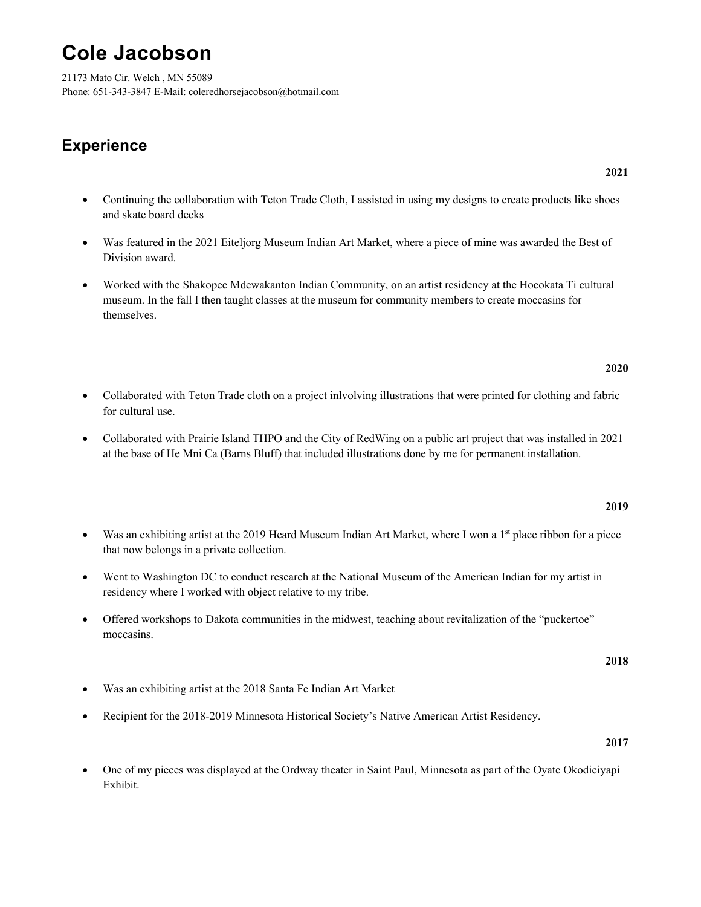# **Cole Jacobson**

21173 Mato Cir. Welch , MN 55089 Phone: 651-343-3847 E-Mail: coleredhorsejacobson@hotmail.com

## **Experience**

- Continuing the collaboration with Teton Trade Cloth, I assisted in using my designs to create products like shoes and skate board decks
- Was featured in the 2021 Eiteljorg Museum Indian Art Market, where a piece of mine was awarded the Best of Division award.
- Worked with the Shakopee Mdewakanton Indian Community, on an artist residency at the Hocokata Ti cultural museum. In the fall I then taught classes at the museum for community members to create moccasins for themselves.

#### **2020**

**2021**

- Collaborated with Teton Trade cloth on a project inlvolving illustrations that were printed for clothing and fabric for cultural use.
- Collaborated with Prairie Island THPO and the City of RedWing on a public art project that was installed in 2021 at the base of He Mni Ca (Barns Bluff) that included illustrations done by me for permanent installation.

#### **2019**

- Was an exhibiting artist at the 2019 Heard Museum Indian Art Market, where I won a 1<sup>st</sup> place ribbon for a piece that now belongs in a private collection.
- Went to Washington DC to conduct research at the National Museum of the American Indian for my artist in residency where I worked with object relative to my tribe.
- Offered workshops to Dakota communities in the midwest, teaching about revitalization of the "puckertoe" moccasins.

**2018**

- Was an exhibiting artist at the 2018 Santa Fe Indian Art Market
- Recipient for the 2018-2019 Minnesota Historical Society's Native American Artist Residency.

#### **2017**

• One of my pieces was displayed at the Ordway theater in Saint Paul, Minnesota as part of the Oyate Okodiciyapi Exhibit.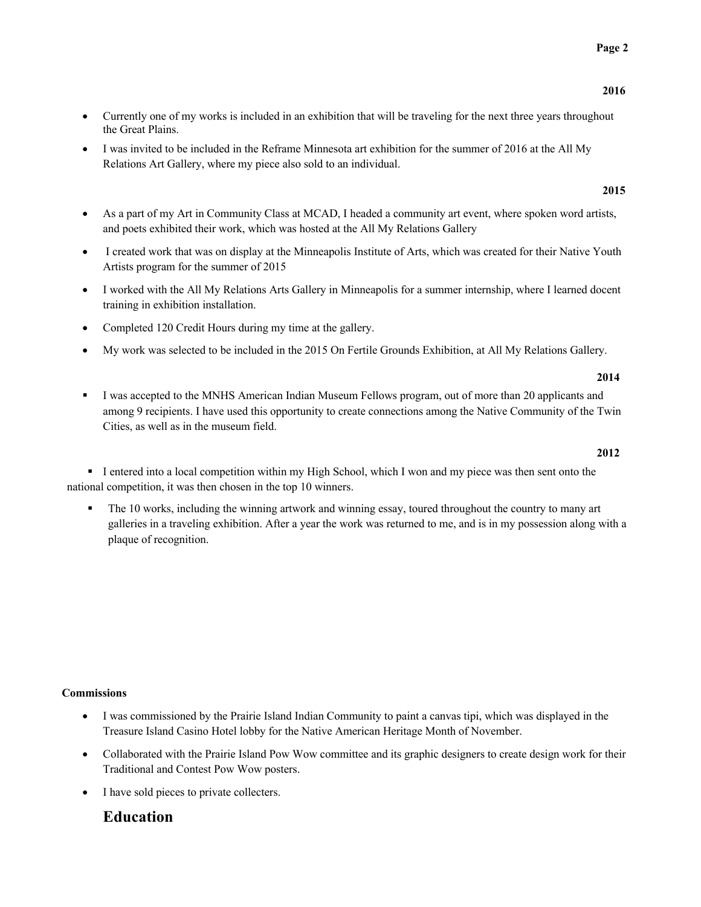- Currently one of my works is included in an exhibition that will be traveling for the next three years throughout the Great Plains.
- I was invited to be included in the Reframe Minnesota art exhibition for the summer of 2016 at the All My Relations Art Gallery, where my piece also sold to an individual.

 **2015**

- As a part of my Art in Community Class at MCAD, I headed a community art event, where spoken word artists, and poets exhibited their work, which was hosted at the All My Relations Gallery
- I created work that was on display at the Minneapolis Institute of Arts, which was created for their Native Youth Artists program for the summer of 2015
- I worked with the All My Relations Arts Gallery in Minneapolis for a summer internship, where I learned docent training in exhibition installation.
- Completed 120 Credit Hours during my time at the gallery.
- My work was selected to be included in the 2015 On Fertile Grounds Exhibition, at All My Relations Gallery.

#### **2014**

§ I was accepted to the MNHS American Indian Museum Fellows program, out of more than 20 applicants and among 9 recipients. I have used this opportunity to create connections among the Native Community of the Twin Cities, as well as in the museum field.

#### **2012**

§ I entered into a local competition within my High School, which I won and my piece was then sent onto the national competition, it was then chosen in the top 10 winners.

• The 10 works, including the winning artwork and winning essay, toured throughout the country to many art galleries in a traveling exhibition. After a year the work was returned to me, and is in my possession along with a plaque of recognition.

#### **Commissions**

- I was commissioned by the Prairie Island Indian Community to paint a canvas tipi, which was displayed in the Treasure Island Casino Hotel lobby for the Native American Heritage Month of November.
- Collaborated with the Prairie Island Pow Wow committee and its graphic designers to create design work for their Traditional and Contest Pow Wow posters.
- I have sold pieces to private collecters.

## **Education**